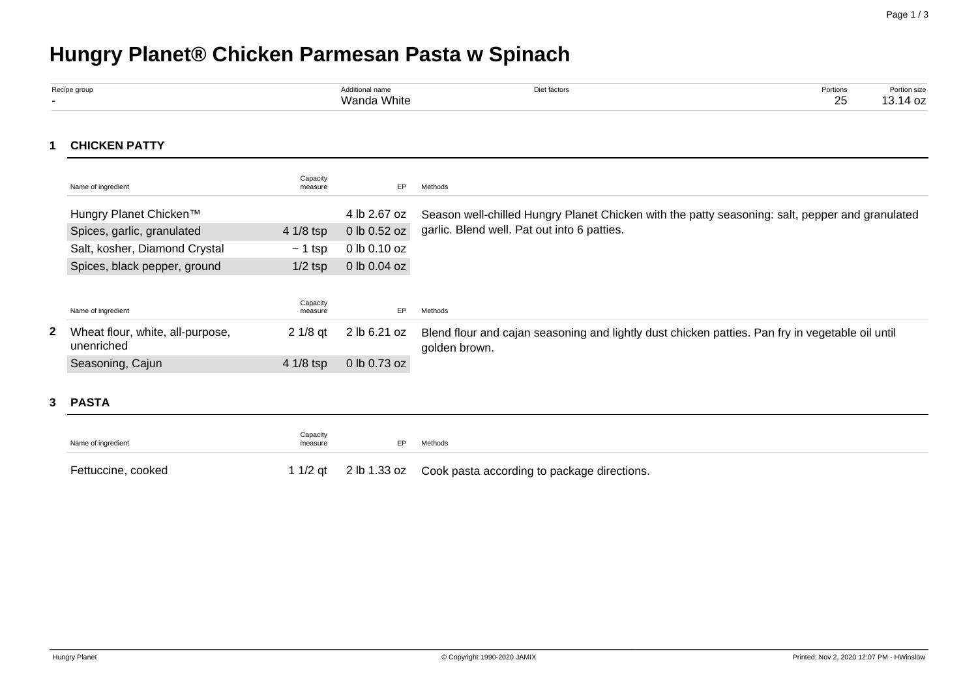# **Hungry Planet® Chicken Parmesan Pasta w Spinach**

| Recipe group | Additional name | hiet factors | Portions | ortion size |
|--------------|-----------------|--------------|----------|-------------|
|              | Wanda White     |              | ົ        | 14 oz       |

## **1 CHICKEN PATTY**

|  | Name of ingredient                             | Capacity<br>measure | EP.              | Methods                                                                                                           |
|--|------------------------------------------------|---------------------|------------------|-------------------------------------------------------------------------------------------------------------------|
|  | Hungry Planet Chicken™                         |                     | 4 lb 2.67 oz     | Season well-chilled Hungry Planet Chicken with the patty seasoning: salt, pepper and granulated                   |
|  | Spices, garlic, granulated                     | 4 1/8 tsp           | 0 lb 0.52 oz     | garlic. Blend well. Pat out into 6 patties.                                                                       |
|  | Salt, kosher, Diamond Crystal                  | $\sim$ 1 tsp        | 0 lb 0.10 oz     |                                                                                                                   |
|  | Spices, black pepper, ground                   | $1/2$ tsp           | $0$ lb $0.04$ oz |                                                                                                                   |
|  |                                                |                     |                  |                                                                                                                   |
|  | Name of ingredient                             | Capacity<br>measure | EP.              | Methods                                                                                                           |
|  | Wheat flour, white, all-purpose,<br>unenriched | $21/8$ at           | 2 lb 6.21 oz     | Blend flour and cajan seasoning and lightly dust chicken patties. Pan fry in vegetable oil until<br>golden brown. |
|  | Seasoning, Cajun                               | 4 1/8 tsp           | 0 lb 0.73 oz     |                                                                                                                   |

#### **3 PASTA**

| Capacity<br>Name of ingredient<br>FP.<br>measure |  | Methods                                                           |  |  |
|--------------------------------------------------|--|-------------------------------------------------------------------|--|--|
| Fettuccine, cooked                               |  | 1 1/2 qt 2 lb 1.33 oz Cook pasta according to package directions. |  |  |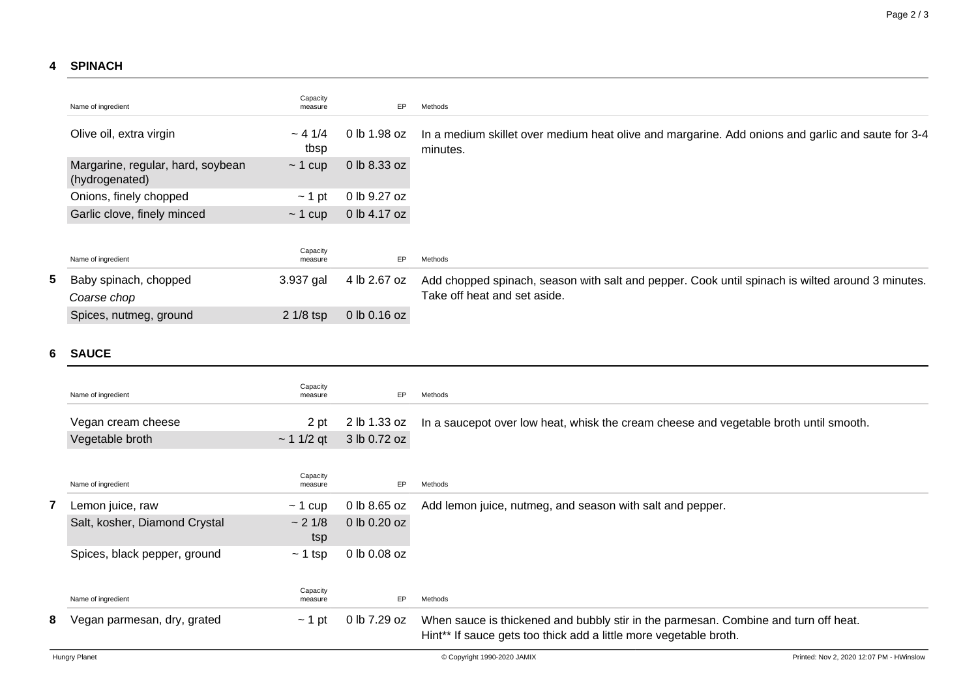## **4 SPINACH**

|  | Name of ingredient                                  | Capacity<br>measure | EP           | Methods                                                                                                                          |
|--|-----------------------------------------------------|---------------------|--------------|----------------------------------------------------------------------------------------------------------------------------------|
|  | Olive oil, extra virgin                             | $~-41/4$<br>tbsp    | 0 lb 1.98 oz | In a medium skillet over medium heat olive and margarine. Add onions and garlic and saute for 3-4<br>minutes.                    |
|  | Margarine, regular, hard, soybean<br>(hydrogenated) | $\sim$ 1 cup        | 0 lb 8.33 oz |                                                                                                                                  |
|  | Onions, finely chopped                              | $\sim$ 1 pt         | 0 lb 9.27 oz |                                                                                                                                  |
|  | Garlic clove, finely minced                         | $\sim$ 1 cup        | 0 lb 4.17 oz |                                                                                                                                  |
|  | Name of ingredient                                  | Capacity<br>measure | EP           | Methods                                                                                                                          |
|  | Baby spinach, chopped<br>Coarse chop                | 3.937 gal           | 4 lb 2.67 oz | Add chopped spinach, season with salt and pepper. Cook until spinach is wilted around 3 minutes.<br>Take off heat and set aside. |
|  | Spices, nutmeg, ground                              | $21/8$ tsp          | 0 lb 0.16 oz |                                                                                                                                  |

#### **6 SAUCE**

|   | Name of ingredient            | Capacity<br>measure | EP           | Methods                                                                                                                                                  |
|---|-------------------------------|---------------------|--------------|----------------------------------------------------------------------------------------------------------------------------------------------------------|
|   | Vegan cream cheese            | 2 pt                | 2 lb 1.33 oz | In a saucepot over low heat, whisk the cream cheese and vegetable broth until smooth.                                                                    |
|   | Vegetable broth               | $\sim$ 1 1/2 qt     | 3 lb 0.72 oz |                                                                                                                                                          |
|   | Name of ingredient            | Capacity<br>measure | EP           | Methods                                                                                                                                                  |
|   | Lemon juice, raw              | $\sim$ 1 cup        | 0 lb 8.65 oz | Add lemon juice, nutmeg, and season with salt and pepper.                                                                                                |
|   | Salt, kosher, Diamond Crystal | ~2~1/8<br>tsp       | 0 lb 0.20 oz |                                                                                                                                                          |
|   | Spices, black pepper, ground  | $\sim$ 1 tsp        | 0 lb 0.08 oz |                                                                                                                                                          |
|   | Name of ingredient            | Capacity<br>measure | EP           | Methods                                                                                                                                                  |
| 8 | Vegan parmesan, dry, grated   | $\sim$ 1 pt         | 0 lb 7.29 oz | When sauce is thickened and bubbly stir in the parmesan. Combine and turn off heat.<br>Hint** If sauce gets too thick add a little more vegetable broth. |